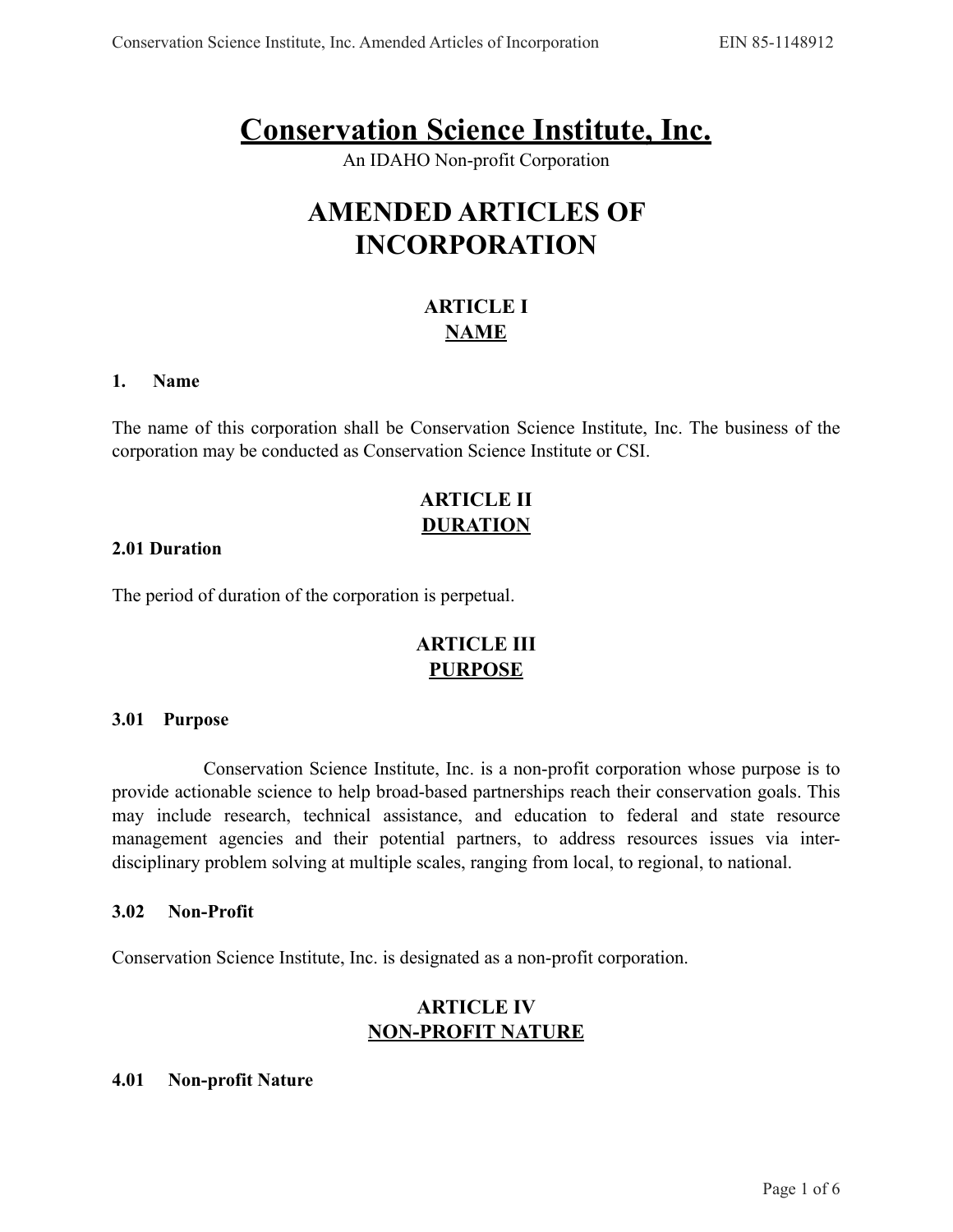# **Conservation Science Institute, Inc.**

An IDAHO Non-profit Corporation

# **AMENDED ARTICLES OF INCORPORATION**

# **ARTICLE I NAME**

#### **1. Name**

The name of this corporation shall be Conservation Science Institute, Inc. The business of the corporation may be conducted as Conservation Science Institute or CSI.

# **ARTICLE II DURATION**

#### **2.01 Duration**

The period of duration of the corporation is perpetual.

# **ARTICLE III PURPOSE**

#### **3.01 Purpose**

 Conservation Science Institute, Inc. is a non-profit corporation whose purpose is to provide actionable science to help broad-based partnerships reach their conservation goals. This may include research, technical assistance, and education to federal and state resource management agencies and their potential partners, to address resources issues via interdisciplinary problem solving at multiple scales, ranging from local, to regional, to national.

#### **3.02 Non-Profit**

Conservation Science Institute, Inc. is designated as a non-profit corporation.

### **ARTICLE IV NON-PROFIT NATURE**

#### **4.01 Non-profit Nature**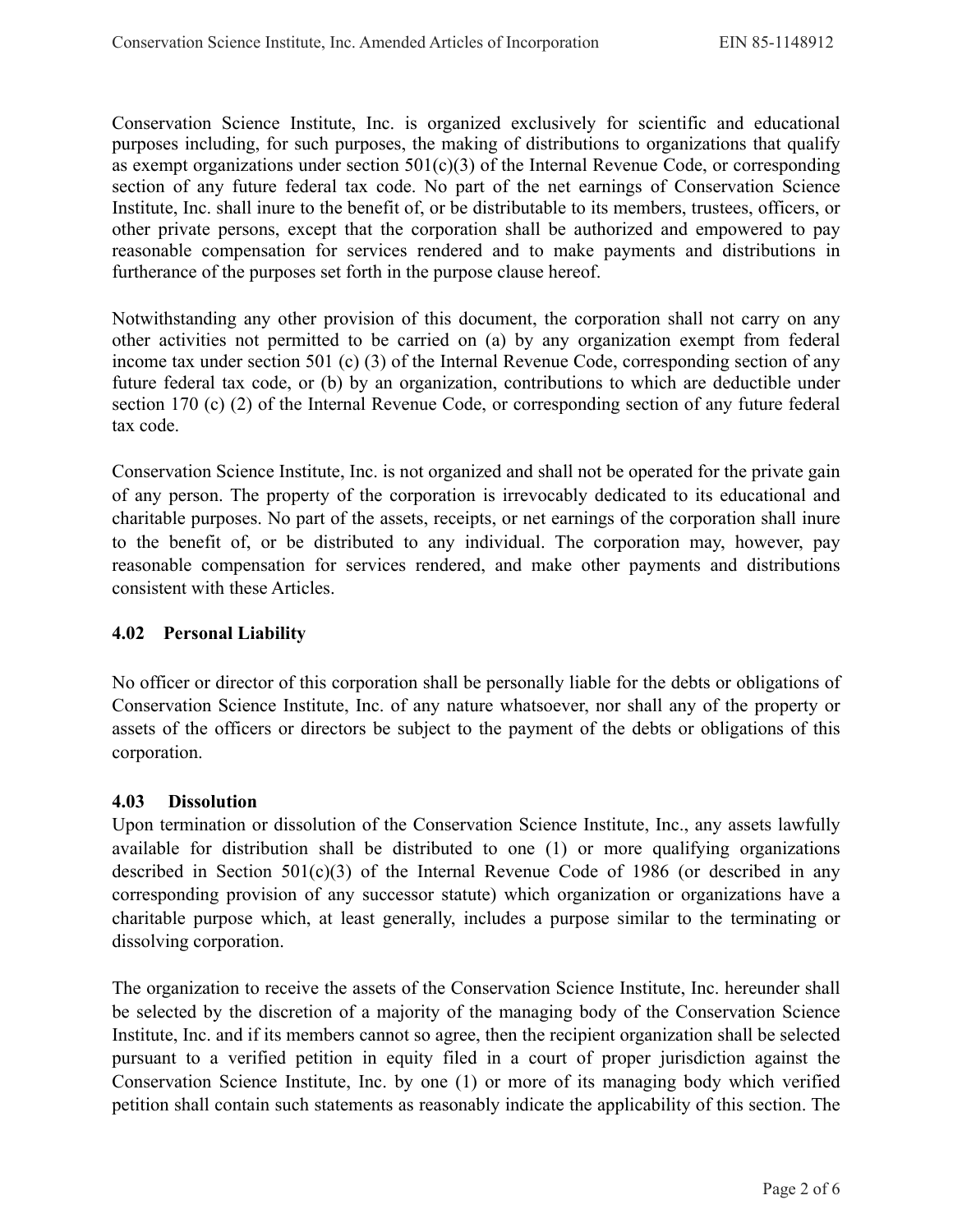Conservation Science Institute, Inc. is organized exclusively for scientific and educational purposes including, for such purposes, the making of distributions to organizations that qualify as exempt organizations under section  $501(c)(3)$  of the Internal Revenue Code, or corresponding section of any future federal tax code. No part of the net earnings of Conservation Science Institute, Inc. shall inure to the benefit of, or be distributable to its members, trustees, officers, or other private persons, except that the corporation shall be authorized and empowered to pay reasonable compensation for services rendered and to make payments and distributions in furtherance of the purposes set forth in the purpose clause hereof.

Notwithstanding any other provision of this document, the corporation shall not carry on any other activities not permitted to be carried on (a) by any organization exempt from federal income tax under section 501 (c) (3) of the Internal Revenue Code, corresponding section of any future federal tax code, or (b) by an organization, contributions to which are deductible under section 170 (c) (2) of the Internal Revenue Code, or corresponding section of any future federal tax code.

Conservation Science Institute, Inc. is not organized and shall not be operated for the private gain of any person. The property of the corporation is irrevocably dedicated to its educational and charitable purposes. No part of the assets, receipts, or net earnings of the corporation shall inure to the benefit of, or be distributed to any individual. The corporation may, however, pay reasonable compensation for services rendered, and make other payments and distributions consistent with these Articles.

#### **4.02 Personal Liability**

No officer or director of this corporation shall be personally liable for the debts or obligations of Conservation Science Institute, Inc. of any nature whatsoever, nor shall any of the property or assets of the officers or directors be subject to the payment of the debts or obligations of this corporation.

#### **4.03 Dissolution**

Upon termination or dissolution of the Conservation Science Institute, Inc., any assets lawfully available for distribution shall be distributed to one (1) or more qualifying organizations described in Section 501(c)(3) of the Internal Revenue Code of 1986 (or described in any corresponding provision of any successor statute) which organization or organizations have a charitable purpose which, at least generally, includes a purpose similar to the terminating or dissolving corporation.

The organization to receive the assets of the Conservation Science Institute, Inc. hereunder shall be selected by the discretion of a majority of the managing body of the Conservation Science Institute, Inc. and if its members cannot so agree, then the recipient organization shall be selected pursuant to a verified petition in equity filed in a court of proper jurisdiction against the Conservation Science Institute, Inc. by one (1) or more of its managing body which verified petition shall contain such statements as reasonably indicate the applicability of this section. The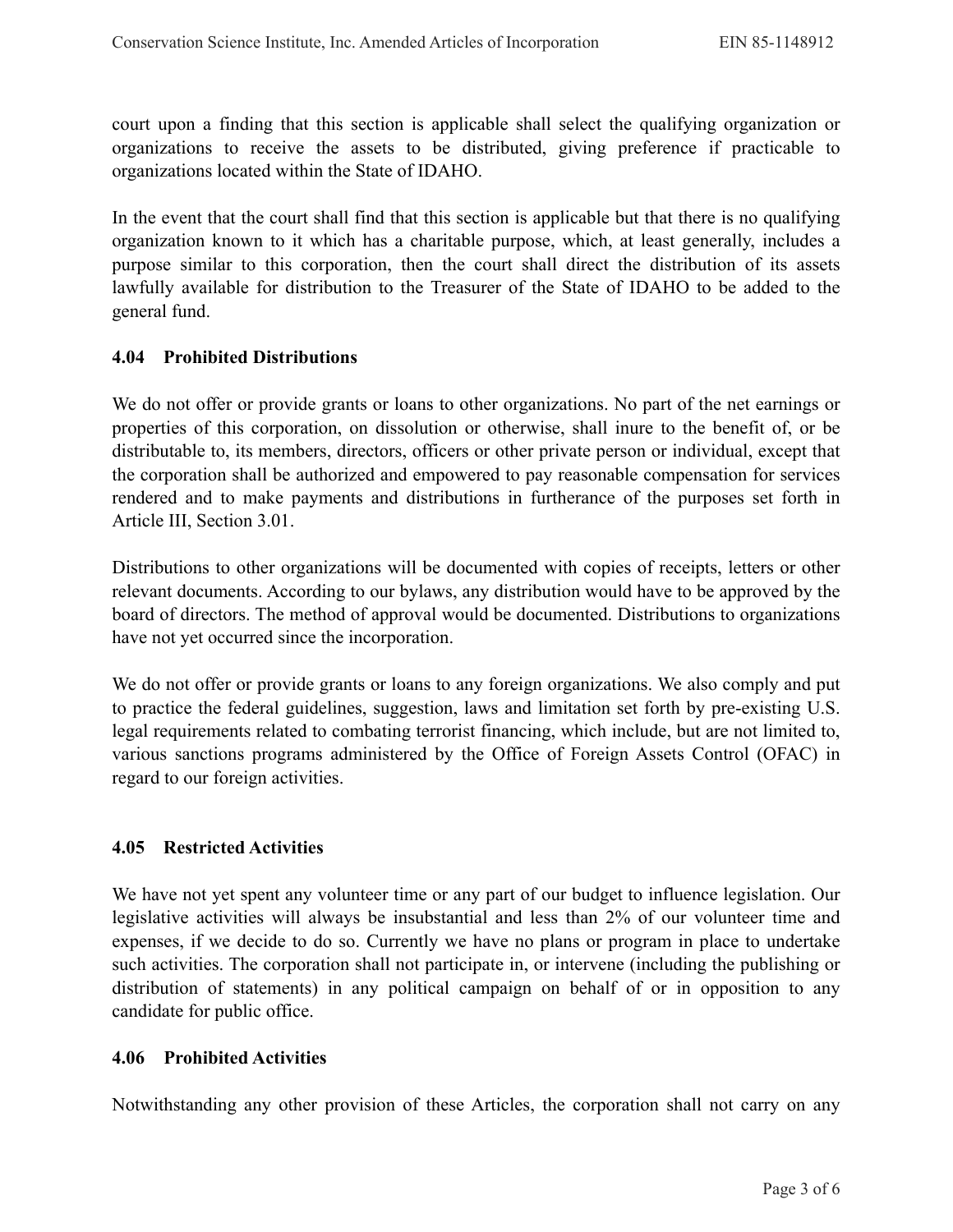court upon a finding that this section is applicable shall select the qualifying organization or organizations to receive the assets to be distributed, giving preference if practicable to organizations located within the State of IDAHO.

In the event that the court shall find that this section is applicable but that there is no qualifying organization known to it which has a charitable purpose, which, at least generally, includes a purpose similar to this corporation, then the court shall direct the distribution of its assets lawfully available for distribution to the Treasurer of the State of IDAHO to be added to the general fund.

#### **4.04 Prohibited Distributions**

We do not offer or provide grants or loans to other organizations. No part of the net earnings or properties of this corporation, on dissolution or otherwise, shall inure to the benefit of, or be distributable to, its members, directors, officers or other private person or individual, except that the corporation shall be authorized and empowered to pay reasonable compensation for services rendered and to make payments and distributions in furtherance of the purposes set forth in Article III, Section 3.01.

Distributions to other organizations will be documented with copies of receipts, letters or other relevant documents. According to our bylaws, any distribution would have to be approved by the board of directors. The method of approval would be documented. Distributions to organizations have not yet occurred since the incorporation.

We do not offer or provide grants or loans to any foreign organizations. We also comply and put to practice the federal guidelines, suggestion, laws and limitation set forth by pre-existing U.S. legal requirements related to combating terrorist financing, which include, but are not limited to, various sanctions programs administered by the Office of Foreign Assets Control (OFAC) in regard to our foreign activities.

#### **4.05 Restricted Activities**

We have not yet spent any volunteer time or any part of our budget to influence legislation. Our legislative activities will always be insubstantial and less than 2% of our volunteer time and expenses, if we decide to do so. Currently we have no plans or program in place to undertake such activities. The corporation shall not participate in, or intervene (including the publishing or distribution of statements) in any political campaign on behalf of or in opposition to any candidate for public office.

#### **4.06 Prohibited Activities**

Notwithstanding any other provision of these Articles, the corporation shall not carry on any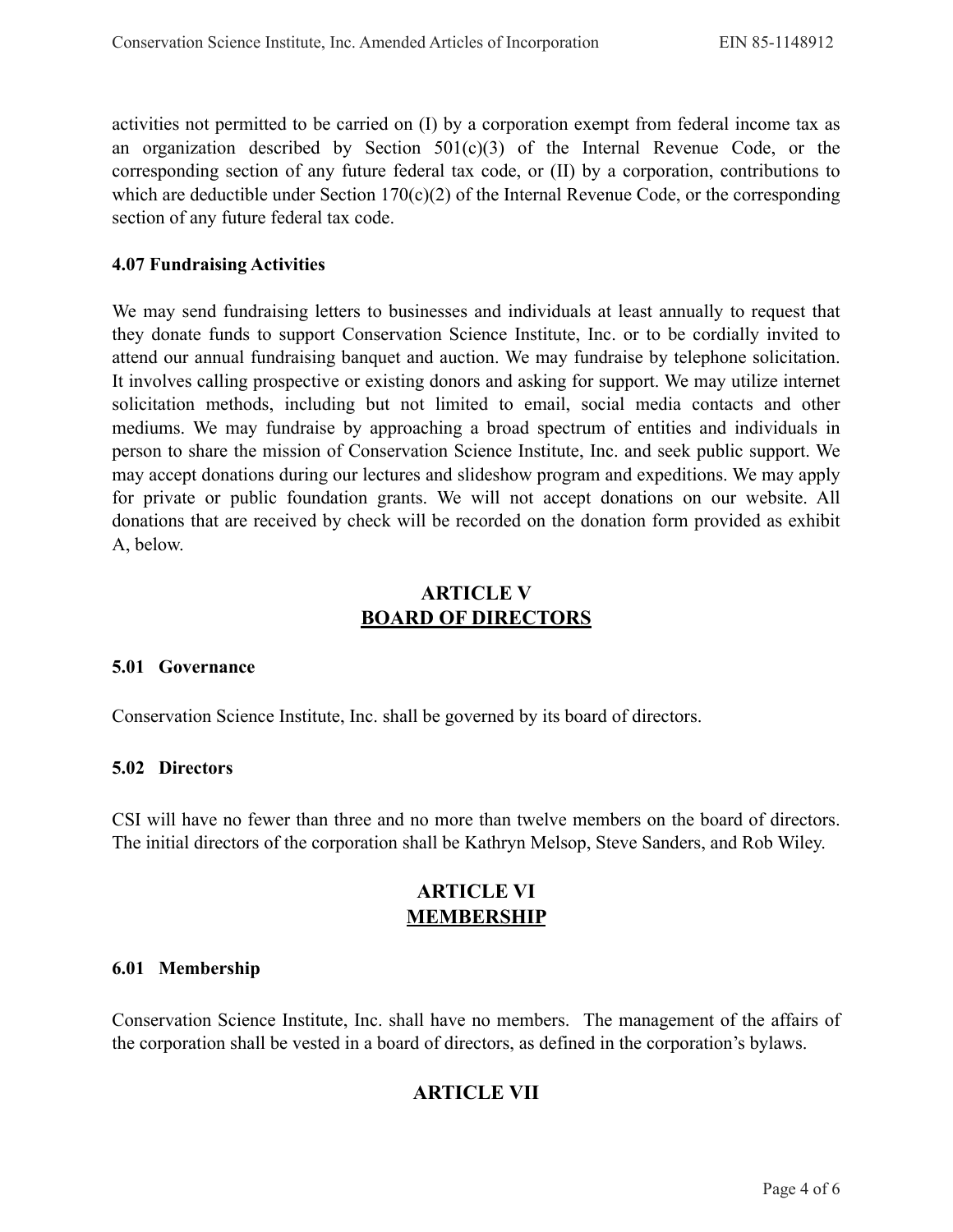activities not permitted to be carried on (I) by a corporation exempt from federal income tax as an organization described by Section  $501(c)(3)$  of the Internal Revenue Code, or the corresponding section of any future federal tax code, or (II) by a corporation, contributions to which are deductible under Section  $170(c)(2)$  of the Internal Revenue Code, or the corresponding section of any future federal tax code.

#### **4.07 Fundraising Activities**

We may send fundraising letters to businesses and individuals at least annually to request that they donate funds to support Conservation Science Institute, Inc. or to be cordially invited to attend our annual fundraising banquet and auction. We may fundraise by telephone solicitation. It involves calling prospective or existing donors and asking for support. We may utilize internet solicitation methods, including but not limited to email, social media contacts and other mediums. We may fundraise by approaching a broad spectrum of entities and individuals in person to share the mission of Conservation Science Institute, Inc. and seek public support. We may accept donations during our lectures and slideshow program and expeditions. We may apply for private or public foundation grants. We will not accept donations on our website. All donations that are received by check will be recorded on the donation form provided as exhibit A, below.

### **ARTICLE V BOARD OF DIRECTORS**

#### **5.01 Governance**

Conservation Science Institute, Inc. shall be governed by its board of directors.

#### **5.02 Directors**

CSI will have no fewer than three and no more than twelve members on the board of directors. The initial directors of the corporation shall be Kathryn Melsop, Steve Sanders, and Rob Wiley.

### **ARTICLE VI MEMBERSHIP**

#### **6.01 Membership**

Conservation Science Institute, Inc. shall have no members. The management of the affairs of the corporation shall be vested in a board of directors, as defined in the corporation's bylaws.

### **ARTICLE VII**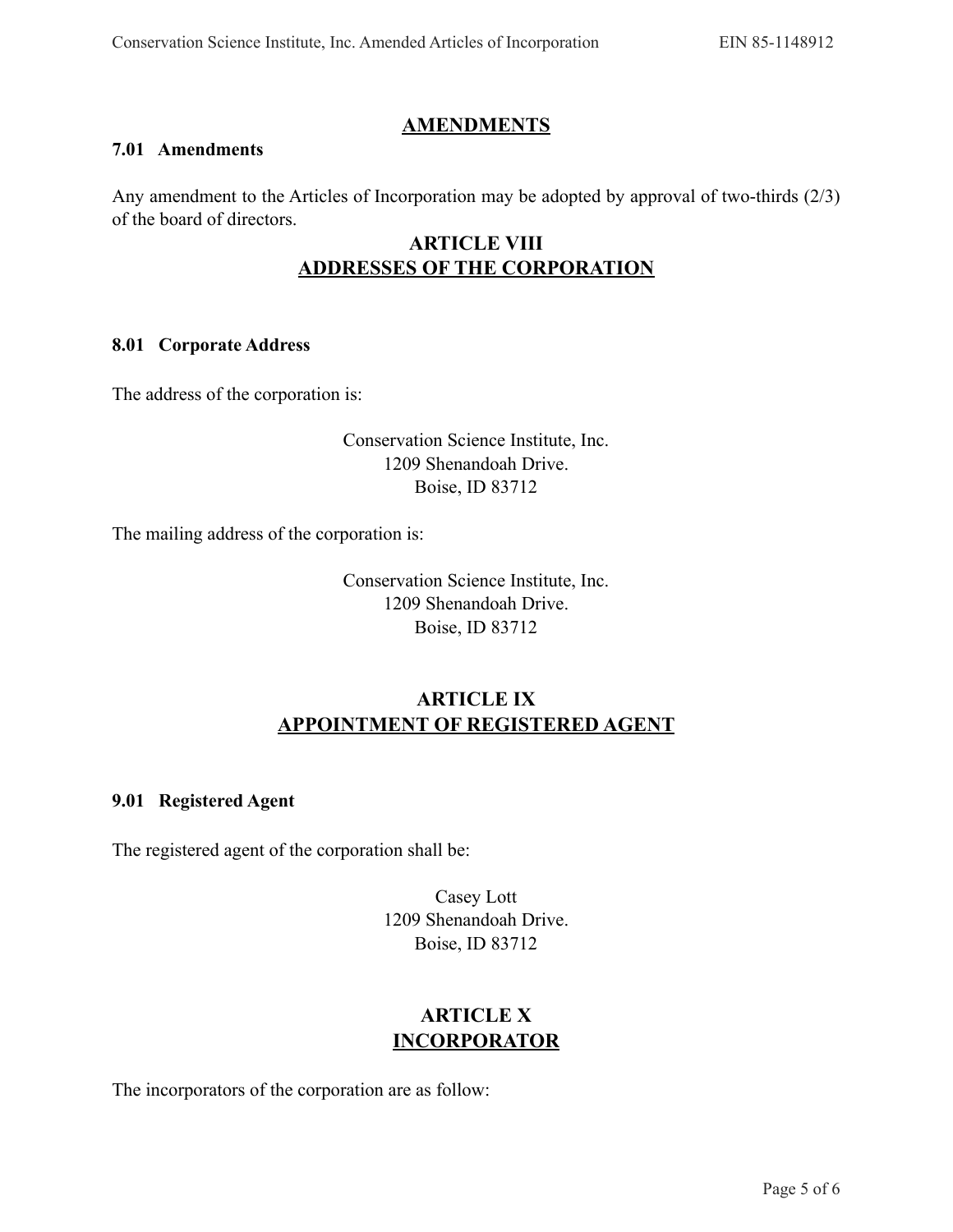### **AMENDMENTS**

### **7.01 Amendments**

Any amendment to the Articles of Incorporation may be adopted by approval of two-thirds (2/3) of the board of directors.

# **ARTICLE VIII ADDRESSES OF THE CORPORATION**

#### **8.01 Corporate Address**

The address of the corporation is:

### Conservation Science Institute, Inc. 1209 Shenandoah Drive. Boise, ID 83712

The mailing address of the corporation is:

Conservation Science Institute, Inc. 1209 Shenandoah Drive. Boise, ID 83712

# **ARTICLE IX APPOINTMENT OF REGISTERED AGENT**

#### **9.01 Registered Agent**

The registered agent of the corporation shall be:

Casey Lott 1209 Shenandoah Drive. Boise, ID 83712

# **ARTICLE X INCORPORATOR**

The incorporators of the corporation are as follow: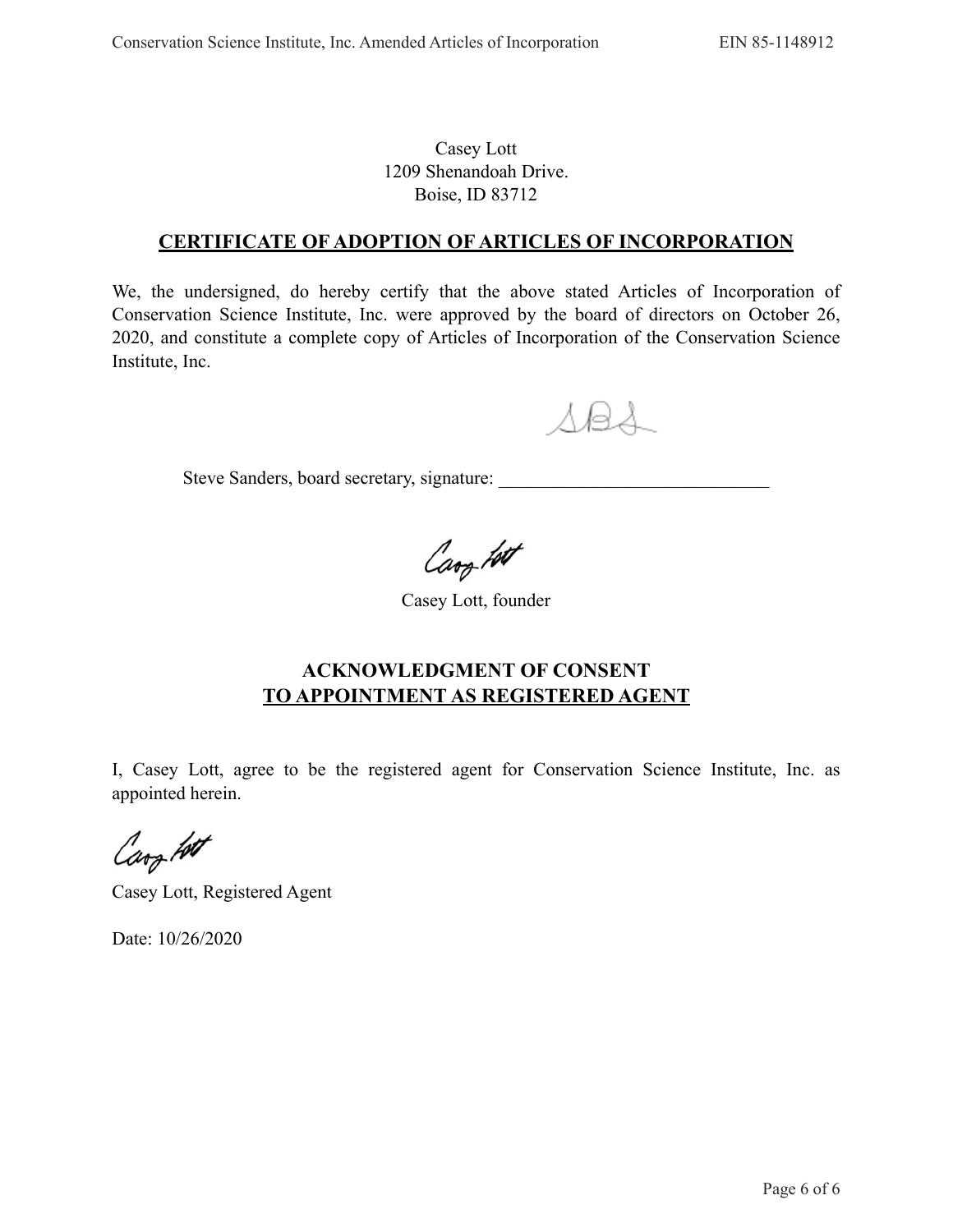### Casey Lott 1209 Shenandoah Drive. Boise, ID 83712

### **CERTIFICATE OF ADOPTION OF ARTICLES OF INCORPORATION**

We, the undersigned, do hereby certify that the above stated Articles of Incorporation of Conservation Science Institute, Inc. were approved by the board of directors on October 26, 2020, and constitute a complete copy of Articles of Incorporation of the Conservation Science Institute, Inc.

 $\triangle$ B $\triangle$ 

Steve Sanders, board secretary, signature: \_\_\_\_\_\_\_\_\_\_\_\_\_\_\_\_\_\_\_\_\_\_\_\_\_\_\_\_\_

Cary Lot

Casey Lott, founder

## **ACKNOWLEDGMENT OF CONSENT TO APPOINTMENT AS REGISTERED AGENT**

I, Casey Lott, agree to be the registered agent for Conservation Science Institute, Inc. as appointed herein.

Carg fort

Casey Lott, Registered Agent

Date: 10/26/2020